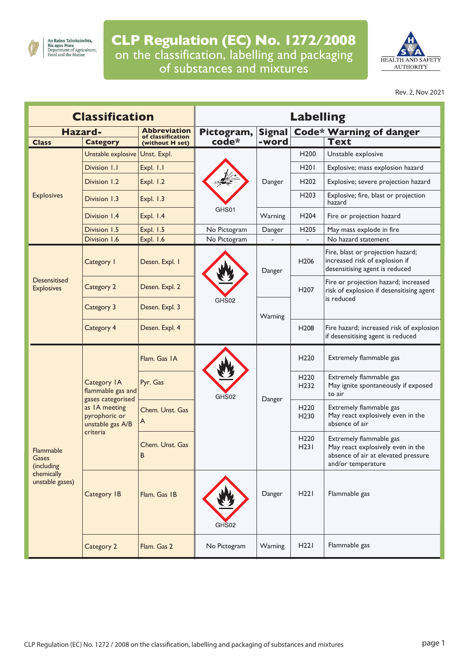

## **CLP Regulation (EC) No. 1272/2008** on the classification, labelling and packaging of substances and mixtures



Rev. 2, Nov 2021

| <b>Classification</b>                                                    |                                                                                                                         |                                      | <b>Labelling</b> |               |                                      |                                                                                                                           |  |  |
|--------------------------------------------------------------------------|-------------------------------------------------------------------------------------------------------------------------|--------------------------------------|------------------|---------------|--------------------------------------|---------------------------------------------------------------------------------------------------------------------------|--|--|
| Hazard-                                                                  |                                                                                                                         | Abbreviation                         | Pictogram,       | <b>Signal</b> | <b>Code* Warning of danger</b>       |                                                                                                                           |  |  |
| <b>Class</b>                                                             | <b>Category</b>                                                                                                         | of classification<br>(without H set) | code*            | -word         |                                      | <b>Text</b>                                                                                                               |  |  |
|                                                                          | Unstable explosive                                                                                                      | Unst. Expl.                          |                  |               | H <sub>200</sub>                     | Unstable explosive                                                                                                        |  |  |
|                                                                          | Division 1.1                                                                                                            | Expl. I.I                            |                  | Danger        | H201                                 | Explosive; mass explosion hazard                                                                                          |  |  |
|                                                                          | Division 1.2                                                                                                            | Expl. 1.2                            |                  |               | H <sub>202</sub>                     | Explosive; severe projection hazard                                                                                       |  |  |
| <b>Explosives</b>                                                        | Division 1.3                                                                                                            | <b>Expl. 1.3</b>                     |                  |               | H <sub>203</sub>                     | Explosive; fire, blast or projection<br>hazard                                                                            |  |  |
|                                                                          | Division 1.4                                                                                                            | Expl. 1.4                            | GHS01            | Warning       | H <sub>204</sub>                     | Fire or projection hazard                                                                                                 |  |  |
|                                                                          | Division 1.5                                                                                                            | <b>Expl. 1.5</b>                     | No Pictogram     | Danger        | H <sub>205</sub>                     | May mass explode in fire                                                                                                  |  |  |
|                                                                          | Division 1.6                                                                                                            | Expl. 1.6                            | No Pictogram     |               |                                      | No hazard statement                                                                                                       |  |  |
|                                                                          | Category I                                                                                                              | Desen. Expl. I                       |                  | Danger        | H <sub>206</sub>                     | Fire, blast or projection hazard;<br>increased risk of explosion if<br>desensitising agent is reduced                     |  |  |
| <b>Desensitised</b><br><b>Explosives</b>                                 | Category 2                                                                                                              | Desen. Expl. 2                       |                  |               | H <sub>207</sub>                     | Fire or projection hazard; increased<br>risk of explosion if desensitising agent<br>is reduced                            |  |  |
|                                                                          | Category 3                                                                                                              | Desen. Expl. 3                       | GHS02            | Warning       |                                      |                                                                                                                           |  |  |
|                                                                          | Category 4                                                                                                              | Desen. Expl. 4                       |                  |               | H <sub>208</sub>                     | Fire hazard; increased risk of explosion<br>if desensitising agent is reduced                                             |  |  |
| <b>Flammable</b><br>Gases<br>(including<br>chemically<br>unstable gases) | Category IA<br>flammable gas and<br>gases categorised<br>as IA meeting<br>pyrophoric or<br>unstable gas A/B<br>criteria | Flam. Gas IA                         | GHS02            | Danger        | H <sub>220</sub>                     | Extremely flammable gas                                                                                                   |  |  |
|                                                                          |                                                                                                                         | Pyr. Gas                             |                  |               | H <sub>220</sub><br>H <sub>232</sub> | Extremely flammable gas<br>May ignite spontaneously if exposed<br>to air                                                  |  |  |
|                                                                          |                                                                                                                         | Chem. Unst. Gas<br>A                 |                  |               | H <sub>220</sub><br>H <sub>230</sub> | Extremely flammable gas<br>May react explosively even in the<br>absence of air                                            |  |  |
|                                                                          |                                                                                                                         | Chem. Unst. Gas<br>B                 |                  |               | H <sub>220</sub><br>H23I             | Extremely flammable gas<br>May react explosively even in the<br>absence of air at elevated pressure<br>and/or temperature |  |  |
|                                                                          | Category IB                                                                                                             | Flam. Gas IB                         | GHS02            | Danger        | H22I                                 | Flammable gas                                                                                                             |  |  |
|                                                                          | Category 2                                                                                                              | Flam. Gas 2                          | No Pictogram     | Warning       | H22I                                 | Flammable gas                                                                                                             |  |  |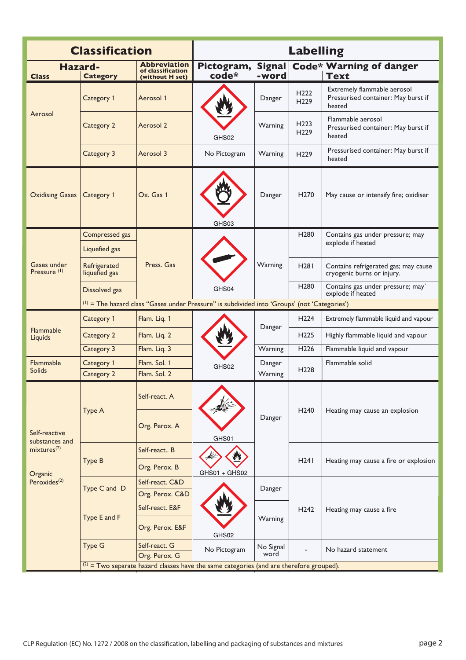| <b>Classification</b>                  |                                                                                           |                                          | <b>Labelling</b>                                                                               |                   |                                      |                                                                              |  |
|----------------------------------------|-------------------------------------------------------------------------------------------|------------------------------------------|------------------------------------------------------------------------------------------------|-------------------|--------------------------------------|------------------------------------------------------------------------------|--|
| <b>Hazard-</b>                         |                                                                                           | <b>Abbreviation</b><br>of classification | Pictogram,                                                                                     | <b>Signal</b>     |                                      | <b>Code* Warning of danger</b>                                               |  |
| <b>Class</b>                           | <b>Category</b>                                                                           | (without H set)                          | code*                                                                                          | -word             |                                      | <b>Text</b>                                                                  |  |
| Aerosol                                | Category 1                                                                                | Aerosol 1                                |                                                                                                | Danger            | H <sub>222</sub><br>H <sub>229</sub> | Extremely flammable aerosol<br>Pressurised container: May burst if<br>heated |  |
|                                        | Category 2                                                                                | Aerosol 2                                | GHS02                                                                                          | Warning           | H <sub>223</sub><br>H <sub>229</sub> | Flammable aerosol<br>Pressurised container: May burst if<br>heated           |  |
|                                        | Category 3                                                                                | Aerosol 3                                | No Pictogram                                                                                   | Warning           | H <sub>229</sub>                     | Pressurised container: May burst if<br>heated                                |  |
| <b>Oxidising Gases</b>                 | Category 1                                                                                | Ox. Gas 1                                | GHS03                                                                                          | Danger            | H <sub>270</sub>                     | May cause or intensify fire; oxidiser                                        |  |
|                                        | Compressed gas                                                                            |                                          |                                                                                                |                   | H <sub>280</sub>                     | Contains gas under pressure; may                                             |  |
|                                        | Liquefied gas                                                                             |                                          |                                                                                                | Warning           |                                      | explode if heated                                                            |  |
| Gases under<br>Pressure <sup>(1)</sup> | Refrigerated<br>liquefied gas                                                             | Press. Gas                               |                                                                                                |                   | <b>H281</b>                          | Contains refrigerated gas; may cause<br>cryogenic burns or injury.           |  |
|                                        | Dissolved gas                                                                             |                                          | GHS04                                                                                          |                   | H <sub>280</sub>                     | Contains gas under pressure; may`<br>explode if heated                       |  |
|                                        |                                                                                           |                                          | $(1)$ = The hazard class "Gases under Pressure" is subdivided into 'Groups' (not 'Categories') |                   |                                      |                                                                              |  |
|                                        | Category 1                                                                                | Flam. Liq. 1                             |                                                                                                | Danger            | H <sub>224</sub>                     | Extremely flammable liquid and vapour                                        |  |
| Flammable<br>Liquids                   | Category 2                                                                                | Flam. Liq. 2                             |                                                                                                |                   | H <sub>225</sub>                     | Highly flammable liquid and vapour                                           |  |
|                                        | Category 3                                                                                | Flam. Liq. 3                             |                                                                                                | Warning           | H <sub>226</sub>                     | Flammable liquid and vapour                                                  |  |
| Flammable<br><b>Solids</b>             | Category 1                                                                                | Flam. Sol. 1                             | GHS02                                                                                          | Danger            | H <sub>228</sub>                     | Flammable solid                                                              |  |
|                                        | Category 2                                                                                | Flam, Sol. 2                             |                                                                                                | Warning           |                                      |                                                                              |  |
|                                        | Type A                                                                                    | Self-react. A                            | GHS01                                                                                          | Danger            | H <sub>240</sub><br>H <sub>241</sub> | Heating may cause an explosion<br>Heating may cause a fire or explosion      |  |
| Self-reactive<br>substances and        |                                                                                           | Org. Perox. A                            |                                                                                                |                   |                                      |                                                                              |  |
| mixtures <sup>(2)</sup>                | Type B                                                                                    | Self-react B                             |                                                                                                |                   |                                      |                                                                              |  |
| Organic                                |                                                                                           | Org. Perox. B                            | GHS01 + GHS02                                                                                  |                   |                                      |                                                                              |  |
| Peroxides <sup>(2)</sup>               | Type C and D                                                                              | Self-react. C&D                          |                                                                                                | Danger            |                                      | Heating may cause a fire                                                     |  |
|                                        | Type E and F                                                                              | Org. Perox. C&D                          | GHS02                                                                                          |                   |                                      |                                                                              |  |
|                                        |                                                                                           | Self-react. E&F                          |                                                                                                |                   | H <sub>242</sub>                     |                                                                              |  |
|                                        |                                                                                           | Org. Perox. E&F                          |                                                                                                | Warning           |                                      |                                                                              |  |
|                                        | <b>Type G</b>                                                                             | Self-react. G<br>Org. Perox. G           | No Pictogram                                                                                   | No Signal<br>word |                                      | No hazard statement                                                          |  |
|                                        | $(2)$ = Two separate hazard classes have the same categories (and are therefore grouped). |                                          |                                                                                                |                   |                                      |                                                                              |  |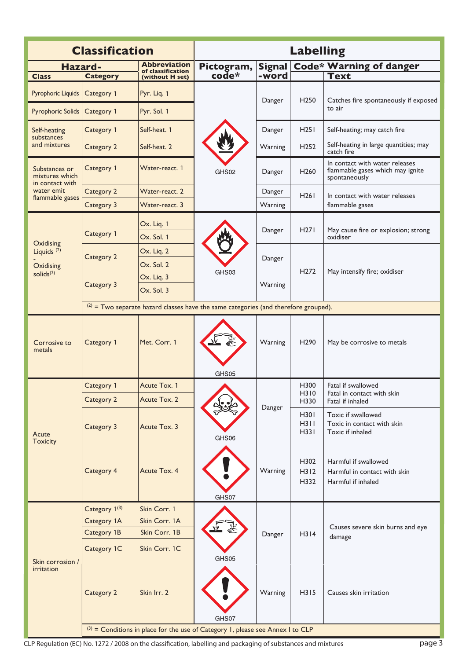| <b>Classification</b>                      |                                                                                       |                                                                                  | <b>Labelling</b>    |                        |                      |                                                                                     |  |  |  |
|--------------------------------------------|---------------------------------------------------------------------------------------|----------------------------------------------------------------------------------|---------------------|------------------------|----------------------|-------------------------------------------------------------------------------------|--|--|--|
| Hazard-<br><b>Class</b>                    | <b>Category</b>                                                                       | <b>Abbreviation</b><br>of classification<br>(without H set)                      | Pictogram,<br>code* | <b>Signal</b><br>-word |                      | <b>Code* Warning of danger</b><br><b>Text</b>                                       |  |  |  |
| Pyrophoric Liquids                         | Category 1                                                                            | Pyr. Liq. 1                                                                      |                     |                        |                      |                                                                                     |  |  |  |
| <b>Pyrophoric Solids</b>                   | Category 1                                                                            | Pyr. Sol. 1                                                                      |                     | Danger                 | H <sub>250</sub>     | Catches fire spontaneously if exposed<br>to air                                     |  |  |  |
| Self-heating<br>substances<br>and mixtures | Category 1                                                                            | Self-heat. 1                                                                     | GHS02               | Danger                 | H251                 | Self-heating; may catch fire                                                        |  |  |  |
|                                            | Category 2                                                                            | Self-heat. 2                                                                     |                     | Warning                | H <sub>252</sub>     | Self-heating in large quantities; may<br>catch fire                                 |  |  |  |
| Substances or<br>mixtures which            | Category 1                                                                            | Water-react. 1                                                                   |                     | Danger                 | H <sub>260</sub>     | In contact with water releases<br>flammable gases which may ignite<br>spontaneously |  |  |  |
| in contact with<br>water emit              | Category 2                                                                            | Water-react. 2                                                                   |                     | Danger                 | H261                 | In contact with water releases                                                      |  |  |  |
| flammable gases                            | Category 3                                                                            | Water-react. 3                                                                   |                     | Warning                |                      | flammable gases                                                                     |  |  |  |
| Oxidising                                  | Category 1                                                                            | Ox. Liq. 1<br>Ox. Sol. 1                                                         |                     | Danger                 | H <sub>271</sub>     | May cause fire or explosion; strong<br>oxidiser                                     |  |  |  |
| Liquids $(2)$<br>Oxidising                 | Category 2                                                                            | Ox. Liq. 2<br>Ox. Sol. 2                                                         | GHS03               | Danger                 |                      |                                                                                     |  |  |  |
| solid $s^{(2)}$                            | Category 3                                                                            | Ox. Liq. 3<br>Ox. Sol. 3                                                         |                     | Warning                | H <sub>272</sub>     | May intensify fire; oxidiser                                                        |  |  |  |
|                                            | $(2)$ = Two separate hazard classes have the same categories (and therefore grouped). |                                                                                  |                     |                        |                      |                                                                                     |  |  |  |
| Corrosive to<br>metals                     | Category 1                                                                            | Met. Corr. 1                                                                     | GHS05               | Warning                | H <sub>290</sub>     | May be corrosive to metals                                                          |  |  |  |
|                                            | Category 1                                                                            | Acute Tox. 1                                                                     | GHS06               | Danger                 | H300<br>H310<br>H330 | Fatal if swallowed<br>Fatal in contact with skin<br>Fatal if inhaled                |  |  |  |
|                                            | Category 2                                                                            | Acute Tox. 2                                                                     |                     |                        |                      |                                                                                     |  |  |  |
| Acute<br><b>Toxicity</b>                   | Category 3                                                                            | Acute Tox. 3                                                                     |                     |                        | H301<br>H311<br>H331 | Toxic if swallowed<br>Toxic in contact with skin<br>Toxic if inhaled                |  |  |  |
|                                            | Category 4                                                                            | Acute Tox. 4                                                                     | GHS07               | Warning                | H302<br>H312<br>H332 | Harmful if swallowed<br>Harmful in contact with skin<br>Harmful if inhaled          |  |  |  |
|                                            | Category 1(3)                                                                         | Skin Corr. 1                                                                     |                     |                        |                      | Causes severe skin burns and eye<br>damage                                          |  |  |  |
|                                            | Category 1A                                                                           | Skin Corr. 1A                                                                    |                     |                        |                      |                                                                                     |  |  |  |
|                                            | Category 1B                                                                           | Skin Corr. 1B                                                                    |                     | Danger                 | H314                 |                                                                                     |  |  |  |
| Skin corrosion /<br>irritation             | Category 1C                                                                           | Skin Corr. 1C                                                                    | GHS05               |                        |                      |                                                                                     |  |  |  |
|                                            | Category 2                                                                            | Skin Irr. 2                                                                      | GHS07               | Warning                | H315                 | Causes skin irritation                                                              |  |  |  |
|                                            |                                                                                       | $(3)$ = Conditions in place for the use of Category 1, please see Annex I to CLP |                     |                        |                      |                                                                                     |  |  |  |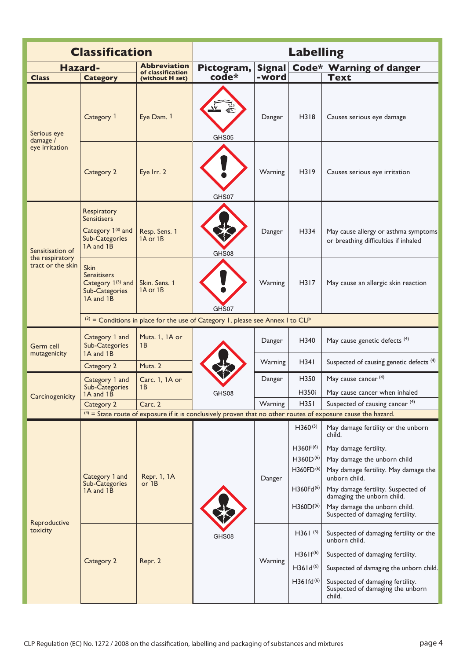|                                                          | <b>Classification</b>                                                                                           | <b>Labelling</b>                     |                                                                                  |                                          |                                                                                                    |                                                                                                                                                                                                                   |  |  |  |
|----------------------------------------------------------|-----------------------------------------------------------------------------------------------------------------|--------------------------------------|----------------------------------------------------------------------------------|------------------------------------------|----------------------------------------------------------------------------------------------------|-------------------------------------------------------------------------------------------------------------------------------------------------------------------------------------------------------------------|--|--|--|
| <b>Abbreviation</b><br><b>Hazard-</b>                    |                                                                                                                 |                                      | Pictogram,                                                                       | Code* Warning of danger<br><b>Signal</b> |                                                                                                    |                                                                                                                                                                                                                   |  |  |  |
| <b>Class</b>                                             | <b>Category</b>                                                                                                 | of classification<br>(without H set) | code*                                                                            | -word                                    |                                                                                                    | <b>Text</b>                                                                                                                                                                                                       |  |  |  |
| Serious eye<br>damage /                                  | Category 1                                                                                                      | Eye Dam. 1                           | GHS05                                                                            | Danger                                   | H318                                                                                               | Causes serious eye damage                                                                                                                                                                                         |  |  |  |
| eye irritation                                           | Category 2                                                                                                      | Eye Irr. 2                           | GHS07                                                                            | Warning                                  | H319                                                                                               | Causes serious eye irritation                                                                                                                                                                                     |  |  |  |
| Sensitisation of<br>the respiratory<br>tract or the skin | Respiratory<br><b>Sensitisers</b><br>Category 1 <sup>(3)</sup> and<br>Sub-Categories<br>1A and 1B               | Resp. Sens. 1<br>1A or 1B            | GHS08                                                                            | Danger                                   | H334                                                                                               | May cause allergy or asthma symptoms<br>or breathing difficulties if inhaled                                                                                                                                      |  |  |  |
|                                                          | <b>Skin</b><br><b>Sensitisers</b><br>Category 1 <sup>(3)</sup> and<br>Sub-Categories<br>1A and 1B               | Skin. Sens. 1<br>1A or 1B            | GHS07                                                                            | Warning                                  | H317                                                                                               | May cause an allergic skin reaction                                                                                                                                                                               |  |  |  |
|                                                          |                                                                                                                 |                                      | $(3)$ = Conditions in place for the use of Category 1, please see Annex I to CLP |                                          |                                                                                                    |                                                                                                                                                                                                                   |  |  |  |
| Germ cell<br>mutagenicity                                | Category 1 and<br>Sub-Categories<br>1A and 1B                                                                   | Muta. 1, 1A or<br>1B                 |                                                                                  | Danger                                   | H340                                                                                               | May cause genetic defects (4)                                                                                                                                                                                     |  |  |  |
|                                                          | Category 2                                                                                                      | Muta. 2                              |                                                                                  | Warning                                  | H34I                                                                                               | Suspected of causing genetic defects <sup>(4)</sup>                                                                                                                                                               |  |  |  |
|                                                          | Category 1 and<br>Sub-Categories<br>1A and 1B                                                                   | Carc. 1, 1A or<br>1B                 | GHS08                                                                            | Danger                                   | H350<br>H350i                                                                                      | May cause cancer <sup>(4)</sup><br>May cause cancer when inhaled                                                                                                                                                  |  |  |  |
| Carcinogenicity                                          | Category 2                                                                                                      | Carc. 2                              |                                                                                  | Warning                                  | H35I                                                                                               | Suspected of causing cancer <sup>(4)</sup>                                                                                                                                                                        |  |  |  |
|                                                          | $(4)$ = State route of exposure if it is conclusively proven that no other routes of exposure cause the hazard. |                                      |                                                                                  |                                          |                                                                                                    |                                                                                                                                                                                                                   |  |  |  |
|                                                          |                                                                                                                 |                                      |                                                                                  |                                          | $H360^{(5)}$                                                                                       | May damage fertility or the unborn<br>child.                                                                                                                                                                      |  |  |  |
| Reproductive<br>toxicity                                 | Category 1 and<br>Sub-Categories<br>1A and 1B                                                                   | Repr. 1, 1A<br>or $1B$               |                                                                                  | Danger                                   | $H360F^{(6)}$<br>$H360D^{(6)}$<br>H360FD <sup>(6)</sup><br>H360Fd <sup>(6)</sup><br>$H360Df^{(6)}$ | May damage fertility.<br>May damage the unborn child<br>May damage fertility. May damage the<br>unborn child.<br>May damage fertility. Suspected of<br>damaging the unborn child.<br>May damage the unborn child. |  |  |  |
|                                                          | Category 2                                                                                                      | Repr. 2                              | GHS08                                                                            |                                          | $H36I^{(5)}$                                                                                       | Suspected of damaging fertility.<br>Suspected of damaging fertility or the                                                                                                                                        |  |  |  |
|                                                          |                                                                                                                 |                                      |                                                                                  | Warning                                  | $H361f^{(6)}$<br>$H361d^{(6)}$                                                                     | unborn child.<br>Suspected of damaging fertility.<br>Suspected of damaging the unborn child.                                                                                                                      |  |  |  |
|                                                          |                                                                                                                 |                                      |                                                                                  |                                          | $H36$ Ifd <sup>(6)</sup>                                                                           | Suspected of damaging fertility.<br>Suspected of damaging the unborn<br>child.                                                                                                                                    |  |  |  |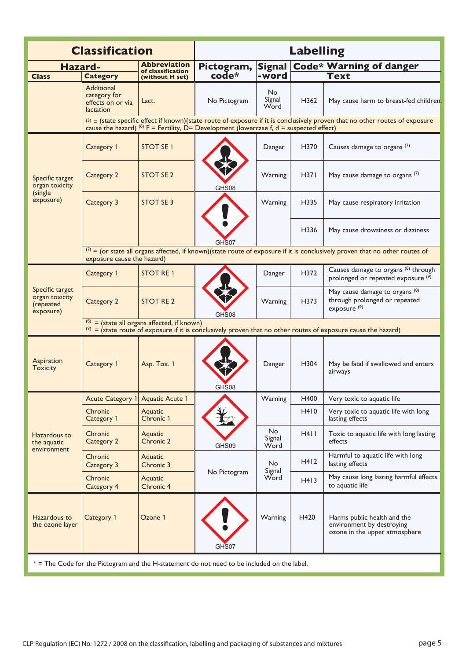| <b>Classification</b>                                                                        |                                                                                                                                                                   |                                      | <b>Labelling</b>                                                                                            |                        |      |                                                                                                                                |  |  |  |
|----------------------------------------------------------------------------------------------|-------------------------------------------------------------------------------------------------------------------------------------------------------------------|--------------------------------------|-------------------------------------------------------------------------------------------------------------|------------------------|------|--------------------------------------------------------------------------------------------------------------------------------|--|--|--|
| <b>Abbreviation</b>                                                                          |                                                                                                                                                                   |                                      |                                                                                                             |                        |      |                                                                                                                                |  |  |  |
| Hazard-<br><b>Class</b>                                                                      | <b>Category</b>                                                                                                                                                   | of classification<br>(without H set) | Pictogram,<br>$\overline{\mathbf{code}}^*$                                                                  | <b>Signal</b><br>-word |      | <b>Code* Warning of danger</b><br><b>Text</b>                                                                                  |  |  |  |
|                                                                                              | Additional<br>category for<br>effects on or via<br><b>lactation</b>                                                                                               | Lact.                                | No Pictogram                                                                                                | No.<br>Signal<br>Word  | H362 | May cause harm to breast-fed children.                                                                                         |  |  |  |
|                                                                                              |                                                                                                                                                                   |                                      | cause the hazard) <sup>(6)</sup> F = Fertility, $\dot{D}$ = Development (lowercase f, d = suspected effect) |                        |      | $(5)$ = (state specific effect if known)(state route of exposure if it is conclusively proven that no other routes of exposure |  |  |  |
|                                                                                              | Category 1                                                                                                                                                        | <b>STOT SE1</b>                      |                                                                                                             | Danger                 | H370 | Causes damage to organs (7)                                                                                                    |  |  |  |
| Specific target<br>organ toxicity                                                            | Category 2                                                                                                                                                        | STOT SE 2                            | GHS08                                                                                                       | Warning                | H371 | May cause damage to organs (7)                                                                                                 |  |  |  |
| (single)<br>exposure)                                                                        | Category 3                                                                                                                                                        | <b>STOT SE 3</b>                     |                                                                                                             | Warning                | H335 | May cause respiratory irritation                                                                                               |  |  |  |
|                                                                                              |                                                                                                                                                                   |                                      | GHS07                                                                                                       |                        | H336 | May cause drowsiness or dizziness                                                                                              |  |  |  |
|                                                                                              | $(7)$ = (or state all organs affected, if known)(state route of exposure if it is conclusively proven that no other routes of<br>exposure cause the hazard)       |                                      |                                                                                                             |                        |      |                                                                                                                                |  |  |  |
|                                                                                              | Category 1                                                                                                                                                        | <b>STOT RE1</b>                      |                                                                                                             | Danger                 | H372 | Causes damage to organs <sup>(8)</sup> through<br>prolonged or repeated exposure (9)                                           |  |  |  |
| Specific target<br>organ toxicity<br>(repeated<br>exposure)                                  | Category 2                                                                                                                                                        | <b>STOT RE2</b>                      | GHS08                                                                                                       | Warning                | H373 | May cause damage to organs (8)<br>through prolonged or repeated<br>exposure <sup>(9)</sup>                                     |  |  |  |
|                                                                                              | $(8)$ = (state all organs affected, if known)<br>$(9)$ = (state route of exposure if it is conclusively proven that no other routes of exposure cause the hazard) |                                      |                                                                                                             |                        |      |                                                                                                                                |  |  |  |
| Aspiration<br><b>Toxicity</b>                                                                | Category 1                                                                                                                                                        | Asp. Tox. 1                          | GHS08                                                                                                       | Danger                 | H304 | May be fatal if swallowed and enters<br>airways                                                                                |  |  |  |
|                                                                                              | <b>Acute Category 1</b>                                                                                                                                           | <b>Aquatic Acute 1</b>               |                                                                                                             | Warning                | H400 | Very toxic to aquatic life                                                                                                     |  |  |  |
|                                                                                              | Chronic<br>Category 1                                                                                                                                             | Aquatic<br>Chronic 1                 |                                                                                                             |                        | H410 | Very toxic to aquatic life with long<br>lasting effects                                                                        |  |  |  |
| Hazardous to<br>the aquatic<br>environment                                                   | Chronic<br>Category 2                                                                                                                                             | Aquatic<br>Chronic 2                 | GHS09                                                                                                       | No<br>Signal<br>Word   | H411 | Toxic to aquatic life with long lasting<br>effects                                                                             |  |  |  |
|                                                                                              | Chronic<br>Category 3                                                                                                                                             | Aquatic<br>Chronic 3                 |                                                                                                             | No.<br>Signal<br>Word  | H412 | Harmful to aquatic life with long<br>lasting effects                                                                           |  |  |  |
|                                                                                              | Chronic<br>Category 4                                                                                                                                             | Aquatic<br>Chronic 4                 | No Pictogram                                                                                                |                        | H413 | May cause long lasting harmful effects<br>to aquatic life                                                                      |  |  |  |
| Hazardous to<br>the ozone layer                                                              | Category 1                                                                                                                                                        | Ozone 1                              | GHS07                                                                                                       | Warning                | H420 | Harms public health and the<br>environment by destroying<br>ozone in the upper atmosphere                                      |  |  |  |
| $*$ = The Code for the Pictogram and the H-statement do not need to be included on the label |                                                                                                                                                                   |                                      |                                                                                                             |                        |      |                                                                                                                                |  |  |  |

 $\log$  for the Pictogram and the H-statement do not need to be included on the label.